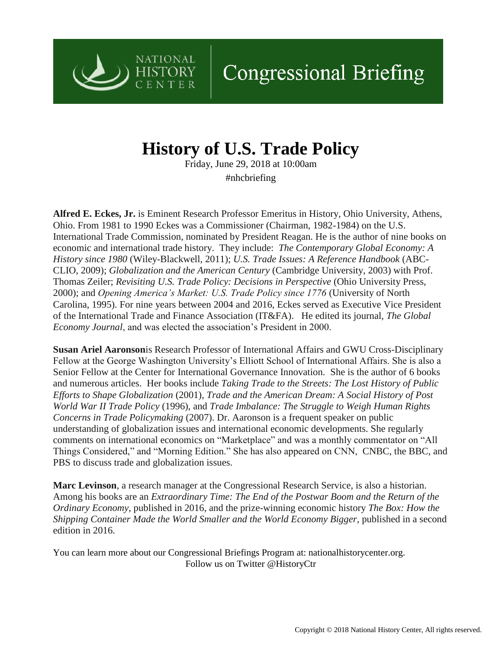

## **History of U.S. Trade Policy**

**NATIONAL** 

**HISTORY** CENTER

> Friday, June 29, 2018 at 10:00am #nhcbriefing

**Alfred E. Eckes, Jr.** is Eminent Research Professor Emeritus in History, Ohio University, Athens, Ohio. From 1981 to 1990 Eckes was a Commissioner (Chairman, 1982-1984) on the U.S. International Trade Commission, nominated by President Reagan. He is the author of nine books on economic and international trade history. They include: *The Contemporary Global Economy: A History since 1980* (Wiley-Blackwell, 2011); *U.S. Trade Issues: A Reference Handbook* (ABC-CLIO, 2009); *Globalization and the American Century* (Cambridge University, 2003) with Prof. Thomas Zeiler; *Revisiting U.S. Trade Policy: Decisions in Perspective* (Ohio University Press, 2000); and *Opening America's Market: U.S. Trade Policy since 1776* (University of North Carolina, 1995). For nine years between 2004 and 2016, Eckes served as Executive Vice President of the International Trade and Finance Association (IT&FA). He edited its journal, *The Global Economy Journal*, and was elected the association's President in 2000.

**Susan Ariel Aaronson**is Research Professor of International Affairs and GWU Cross-Disciplinary Fellow at the George Washington University's Elliott School of International Affairs. She is also a Senior Fellow at the Center for International Governance Innovation. She is the author of 6 books and numerous articles. Her books include *Taking Trade to the Streets: The Lost History of Public Efforts to Shape Globalization* (2001), *Trade and the American Dream: A Social History of Post World War II Trade Policy* (1996), and *Trade Imbalance: The Struggle to Weigh Human Rights Concerns in Trade Policymaking* (2007). Dr. Aaronson is a frequent speaker on public understanding of globalization issues and international economic developments. She regularly comments on international economics on "Marketplace" and was a monthly commentator on "All Things Considered," and "Morning Edition." She has also appeared on CNN, CNBC, the BBC, and PBS to discuss trade and globalization issues.

**Marc Levinson**, a research manager at the Congressional Research Service, is also a historian. Among his books are an *Extraordinary Time: The End of the Postwar Boom and the Return of the Ordinary Economy*, published in 2016, and the prize-winning economic history *The Box: How the Shipping Container Made the World Smaller and the World Economy Bigger*, published in a second edition in 2016.

You can learn more about our Congressional Briefings Program at: nationalhistorycenter.org. Follow us on Twitter @HistoryCtr